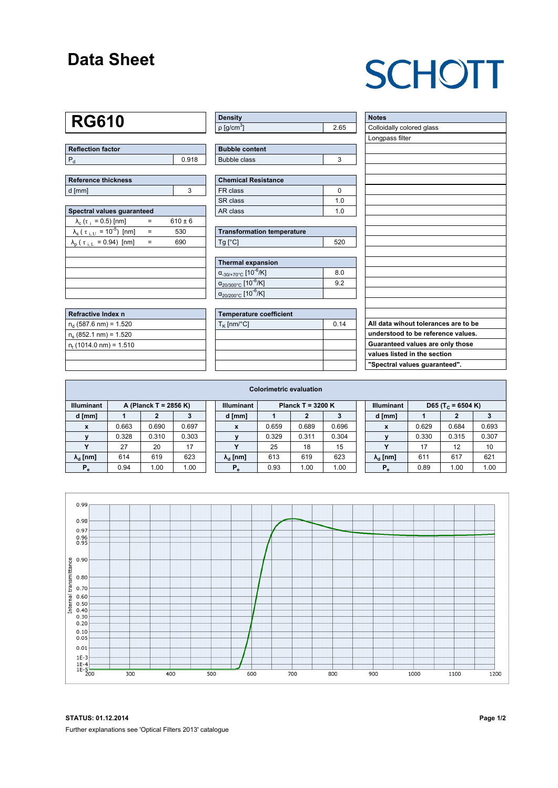#### **Data Sheet**

## **SCHOTT**

## **RG610**

| Reflection factor |       |
|-------------------|-------|
|                   | 0.918 |

| Reference thickness |  |  |  |  |  |  |
|---------------------|--|--|--|--|--|--|
| d [mm]              |  |  |  |  |  |  |

| Spectral values quaranteed                                     |     |             |  |  |  |  |  |  |  |
|----------------------------------------------------------------|-----|-------------|--|--|--|--|--|--|--|
| $\lambda_c$ ( $\tau_i$ = 0.5) [nm]                             |     | $610 \pm 6$ |  |  |  |  |  |  |  |
| $\lambda_{\rm s}$ ( $\tau_{\rm i,U}$ = 10 <sup>-5</sup> ) [nm] | $=$ | 530         |  |  |  |  |  |  |  |
| $\lambda_{\rm p}$ ( $\tau_{\rm i, L}$ = 0.94) [nm]             |     | 690         |  |  |  |  |  |  |  |
|                                                                |     |             |  |  |  |  |  |  |  |
|                                                                |     |             |  |  |  |  |  |  |  |
|                                                                |     |             |  |  |  |  |  |  |  |
|                                                                |     |             |  |  |  |  |  |  |  |
|                                                                |     |             |  |  |  |  |  |  |  |

| Refractive Index n              |  |
|---------------------------------|--|
| $n_d$ (587.6 nm) = 1.520        |  |
| $n_e$ (852.1 nm) = 1.520        |  |
| $n_{\rm t}$ (1014.0 nm) = 1.510 |  |
|                                 |  |

| <b>Density</b>              |      |
|-----------------------------|------|
| $\rho$ [g/cm <sup>3</sup> ] | 2.65 |

| <b>Bubble content</b> |  |
|-----------------------|--|
| Bubble class          |  |

| Chemical Resistance |     |  |  |  |  |  |
|---------------------|-----|--|--|--|--|--|
| l FR class          |     |  |  |  |  |  |
| l SR class          | 1 በ |  |  |  |  |  |
| l AR class          | 1 በ |  |  |  |  |  |

| <b>Transformation temperature</b> |     |
|-----------------------------------|-----|
| $Ta$ $C1$                         | 520 |

| Thermal expansion                                 |     |
|---------------------------------------------------|-----|
| $\alpha_{-30/+70\degree}$ c [10 <sup>-6</sup> /K] | 8.0 |
| $\alpha_{20/300^{\circ}C}$ [10 $^{-6}$ /K]        | 92  |
| $\alpha_{20/200^{\circ}C}$ [10 $\overline{6}$ /K] |     |

| Temperature coefficient |      |  |  |  |  |  |
|-------------------------|------|--|--|--|--|--|
| $T_K$ [nm/°C]           | 0.14 |  |  |  |  |  |
|                         |      |  |  |  |  |  |
|                         |      |  |  |  |  |  |
|                         |      |  |  |  |  |  |
|                         |      |  |  |  |  |  |

| <b>Notes</b>                         |
|--------------------------------------|
| Colloidally colored glass            |
| Longpass filter                      |
|                                      |
|                                      |
|                                      |
|                                      |
|                                      |
|                                      |
|                                      |
|                                      |
|                                      |
|                                      |
|                                      |
|                                      |
|                                      |
|                                      |
|                                      |
|                                      |
|                                      |
| All data wihout tolerances are to be |
| understood to be reference values.   |
| Guaranteed values are only those     |
| values listed in the section         |
| "Spectral values guaranteed".        |

| <b>Colorimetric evaluation</b>             |       |       |       |                                          |                        |       |       |       |                   |                          |                               |       |       |
|--------------------------------------------|-------|-------|-------|------------------------------------------|------------------------|-------|-------|-------|-------------------|--------------------------|-------------------------------|-------|-------|
| <b>Illuminant</b><br>A (Planck T = 2856 K) |       |       |       | <b>Illuminant</b><br>Planck T = $3200 K$ |                        |       |       |       | <b>Illuminant</b> |                          | D65 (T <sub>c</sub> = 6504 K) |       |       |
| d [mm]                                     |       |       |       |                                          | d [mm]                 |       |       |       |                   | d [mm]                   |                               | 2     |       |
| X                                          | 0.663 | 0.690 | 0.697 |                                          | X                      | 0.659 | 0.689 | 0.696 |                   | X                        | 0.629                         | 0.684 | 0.693 |
|                                            | 0.328 | 0.310 | 0.303 |                                          |                        | 0.329 | 0.311 | 0.304 |                   |                          | 0.330                         | 0.315 | 0.307 |
|                                            | 27    | 20    | 17    |                                          | v                      | 25    | 18    | 15    |                   | $\overline{\phantom{a}}$ | 17                            | 12    | 10    |
| $\lambda_{\rm d}$ [nm]                     | 614   | 619   | 623   |                                          | $\lambda_{\rm d}$ [nm] | 613   | 619   | 623   |                   | $\lambda_{\rm d}$ [nm]   | 611                           | 617   | 621   |
| $P_e$                                      | 0.94  | 1.00  | 1.00  |                                          | $P_{\alpha}$           | 0.93  | 1.00  | 1.00  |                   | $P_e$                    | 0.89                          | 1.00  | 1.00  |
|                                            |       |       |       |                                          |                        |       |       |       |                   |                          |                               |       |       |



**STATUS: 01.12.2014 Page 1/2** Further explanations see 'Optical Filters 2013' catalogue